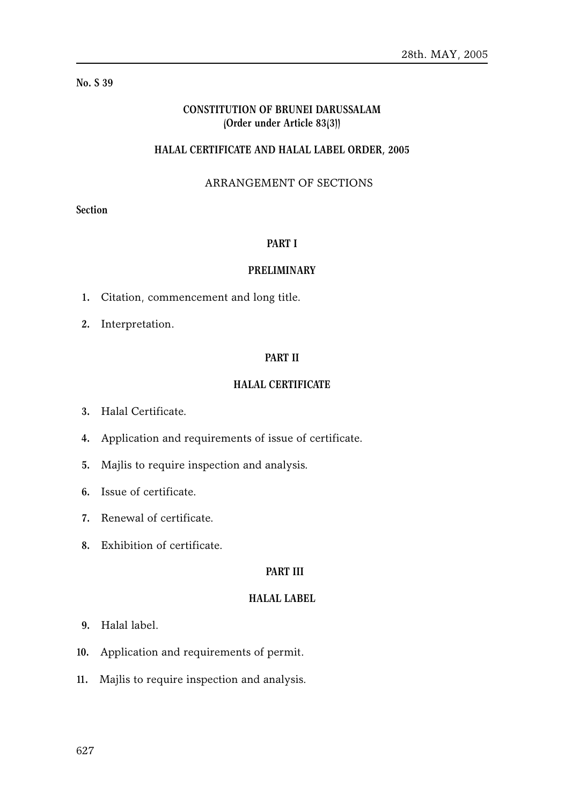## **No. S 39**

# **CONSTITUTION OF BRUNEI DARUSSALAM (Order under Article 83(3))**

## **HALAL CERTIFICATE AND HALAL LABEL ORDER, 2005**

# ARRANGEMENT OF SECTIONS

# **Section**

#### **PART I**

#### **PRELIMINARY**

- **1.** Citation, commencement and long title.
- **2.** Interpretation.

## **PART II**

# **HALAL CERTIFICATE**

- **3.** Halal Certificate.
- **4.** Application and requirements of issue of certificate.
- **5.** Majlis to require inspection and analysis.
- **6.** Issue of certificate.
- **7.** Renewal of certificate.
- **8.** Exhibition of certificate.

#### **PART III**

## **HALAL LABEL**

- **9.** Halal label.
- **10.** Application and requirements of permit.
- **11.** Majlis to require inspection and analysis.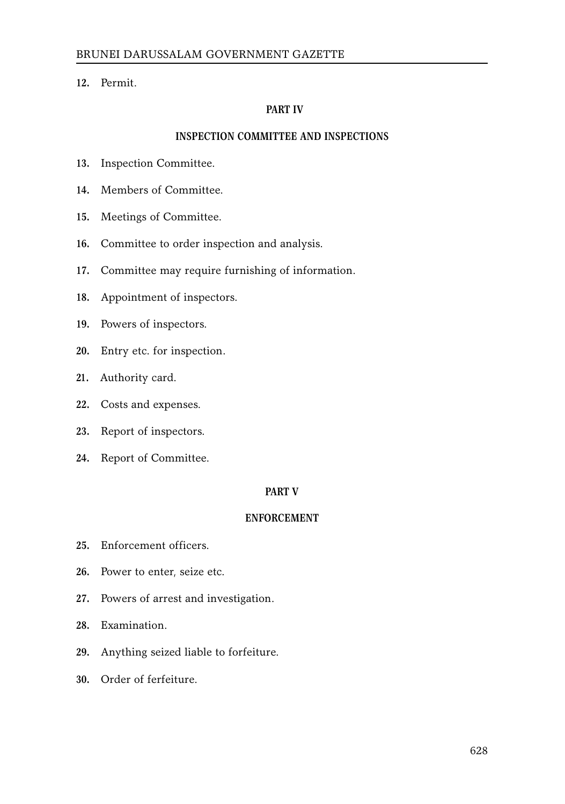**12.** Permit.

# **PART IV**

# **INSPECTION COMMITTEE AND INSPECTIONS**

- **13.** Inspection Committee.
- **14.** Members of Committee.
- **15.** Meetings of Committee.
- **16.** Committee to order inspection and analysis.
- **17.** Committee may require furnishing of information.
- **18.** Appointment of inspectors.
- **19.** Powers of inspectors.
- **20.** Entry etc. for inspection.
- **21.** Authority card.
- **22.** Costs and expenses.
- **23.** Report of inspectors.
- **24.** Report of Committee.

## **PART V**

## **ENFORCEMENT**

- **25.** Enforcement officers.
- **26.** Power to enter, seize etc.
- **27.** Powers of arrest and investigation.
- **28.** Examination.
- **29.** Anything seized liable to forfeiture.
- **30.** Order of ferfeiture.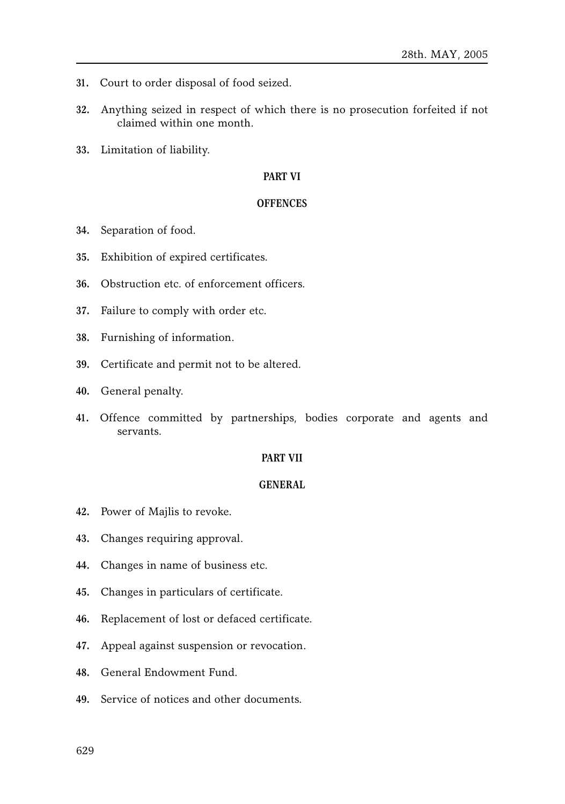- **31.** Court to order disposal of food seized.
- **32.** Anything seized in respect of which there is no prosecution forfeited if not claimed within one month.
- **33.** Limitation of liability.

## **PART VI**

#### **OFFENCES**

- **34.** Separation of food.
- **35.** Exhibition of expired certificates.
- **36.** Obstruction etc. of enforcement officers.
- **37.** Failure to comply with order etc.
- **38.** Furnishing of information.
- **39.** Certificate and permit not to be altered.
- **40.** General penalty.
- **41.** Offence committed by partnerships, bodies corporate and agents and servants.

## **PART VII**

#### **GENERAL**

- **42.** Power of Majlis to revoke.
- **43.** Changes requiring approval.
- **44.** Changes in name of business etc.
- **45.** Changes in particulars of certificate.
- **46.** Replacement of lost or defaced certificate.
- **47.** Appeal against suspension or revocation.
- **48.** General Endowment Fund.
- **49.** Service of notices and other documents.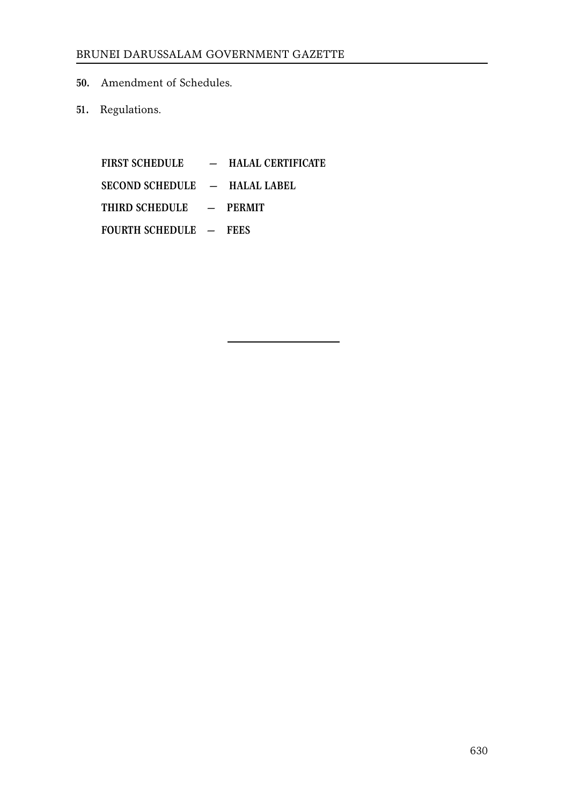- **50.** Amendment of Schedules.
- **51.** Regulations.

**FIRST SCHEDULE — HALAL CERTIFICATE SECOND SCHEDULE — HALAL LABEL THIRD SCHEDULE — PERMIT FOURTH SCHEDULE — FEES**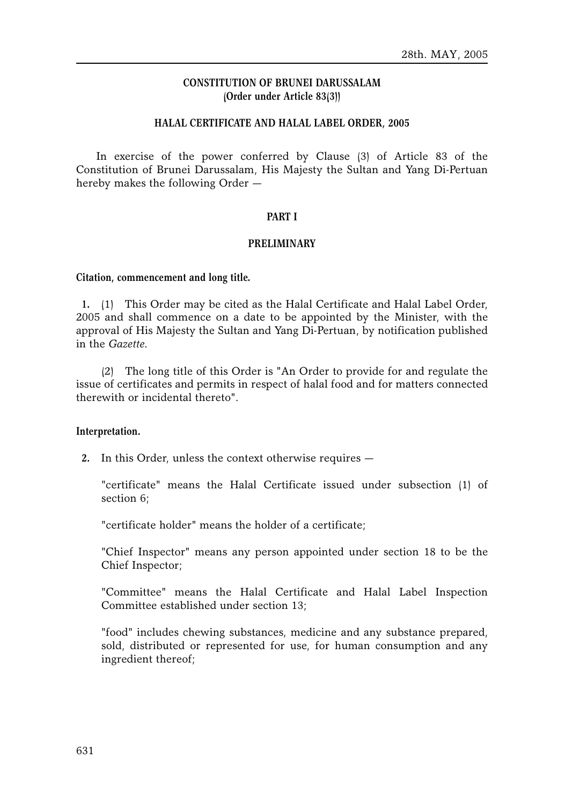# **CONSTITUTION OF BRUNEI DARUSSALAM (Order under Article 83(3))**

## **HALAL CERTIFICATE AND HALAL LABEL ORDER, 2005**

In exercise of the power conferred by Clause (3) of Article 83 of the Constitution of Brunei Darussalam, His Majesty the Sultan and Yang Di-Pertuan hereby makes the following Order —

## **PART I**

## **PRELIMINARY**

## **Citation, commencement and long title.**

**1.** (1) This Order may be cited as the Halal Certificate and Halal Label Order, 2005 and shall commence on a date to be appointed by the Minister, with the approval of His Majesty the Sultan and Yang Di-Pertuan, by notification published in the *Gazette*.

(2) The long title of this Order is "An Order to provide for and regulate the issue of certificates and permits in respect of halal food and for matters connected therewith or incidental thereto".

## **Interpretation.**

**2.** In this Order, unless the context otherwise requires —

"certificate" means the Halal Certificate issued under subsection (1) of section 6;

"certificate holder" means the holder of a certificate;

"Chief Inspector" means any person appointed under section 18 to be the Chief Inspector;

"Committee" means the Halal Certificate and Halal Label Inspection Committee established under section 13;

"food" includes chewing substances, medicine and any substance prepared, sold, distributed or represented for use, for human consumption and any ingredient thereof;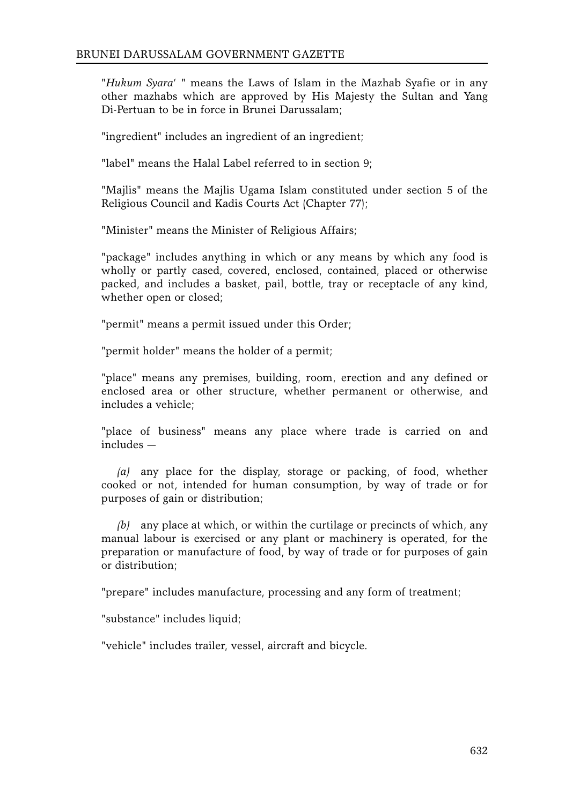"*Hukum Syara*' " means the Laws of Islam in the Mazhab Syafie or in any other mazhabs which are approved by His Majesty the Sultan and Yang Di-Pertuan to be in force in Brunei Darussalam;

"ingredient" includes an ingredient of an ingredient;

"label" means the Halal Label referred to in section 9;

"Majlis" means the Majlis Ugama Islam constituted under section 5 of the Religious Council and Kadis Courts Act (Chapter 77);

"Minister" means the Minister of Religious Affairs;

"package" includes anything in which or any means by which any food is wholly or partly cased, covered, enclosed, contained, placed or otherwise packed, and includes a basket, pail, bottle, tray or receptacle of any kind, whether open or closed;

"permit" means a permit issued under this Order;

"permit holder" means the holder of a permit;

"place" means any premises, building, room, erection and any defined or enclosed area or other structure, whether permanent or otherwise, and includes a vehicle;

"place of business" means any place where trade is carried on and includes —

*(a)* any place for the display, storage or packing, of food, whether cooked or not, intended for human consumption, by way of trade or for purposes of gain or distribution;

*(b)* any place at which, or within the curtilage or precincts of which, any manual labour is exercised or any plant or machinery is operated, for the preparation or manufacture of food, by way of trade or for purposes of gain or distribution;

"prepare" includes manufacture, processing and any form of treatment;

"substance" includes liquid;

"vehicle" includes trailer, vessel, aircraft and bicycle.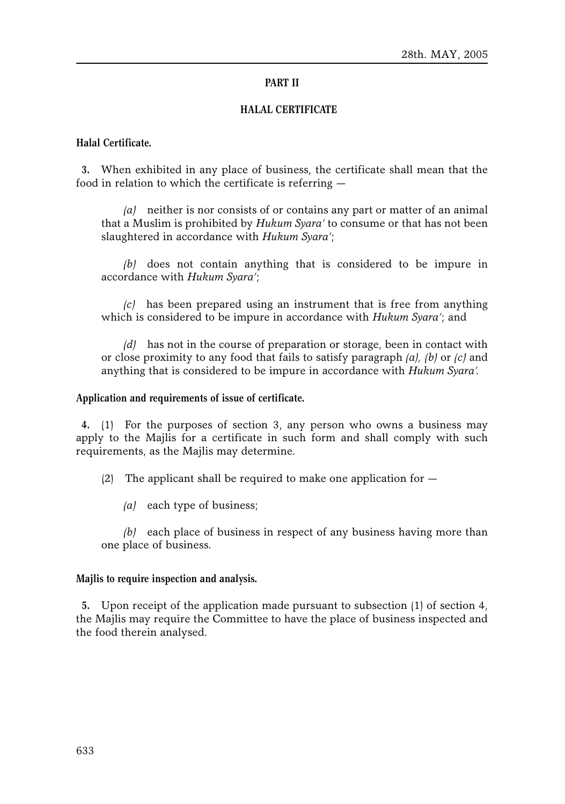## **PART II**

## **HALAL CERTIFICATE**

## **Halal Certificate.**

**3.** When exhibited in any place of business, the certificate shall mean that the food in relation to which the certificate is referring —

*(a)* neither is nor consists of or contains any part or matter of an animal that a Muslim is prohibited by *Hukum Syara'* to consume or that has not been slaughtered in accordance with *Hukum Syara'*;

*(b)* does not contain anything that is considered to be impure in accordance with *Hukum Syara'*;

*(c)* has been prepared using an instrument that is free from anything which is considered to be impure in accordance with *Hukum Syara'*; and

*(d)* has not in the course of preparation or storage, been in contact with or close proximity to any food that fails to satisfy paragraph *(a), (b)* or *(c)* and anything that is considered to be impure in accordance with *Hukum Syara'*.

#### **Application and requirements of issue of certificate.**

**4.** (1) For the purposes of section 3, any person who owns a business may apply to the Majlis for a certificate in such form and shall comply with such requirements, as the Majlis may determine.

(2) The applicant shall be required to make one application for  $-$ 

*(a)* each type of business;

*(b)* each place of business in respect of any business having more than one place of business.

## **Majlis to require inspection and analysis.**

**5.** Upon receipt of the application made pursuant to subsection (1) of section 4, the Majlis may require the Committee to have the place of business inspected and the food therein analysed.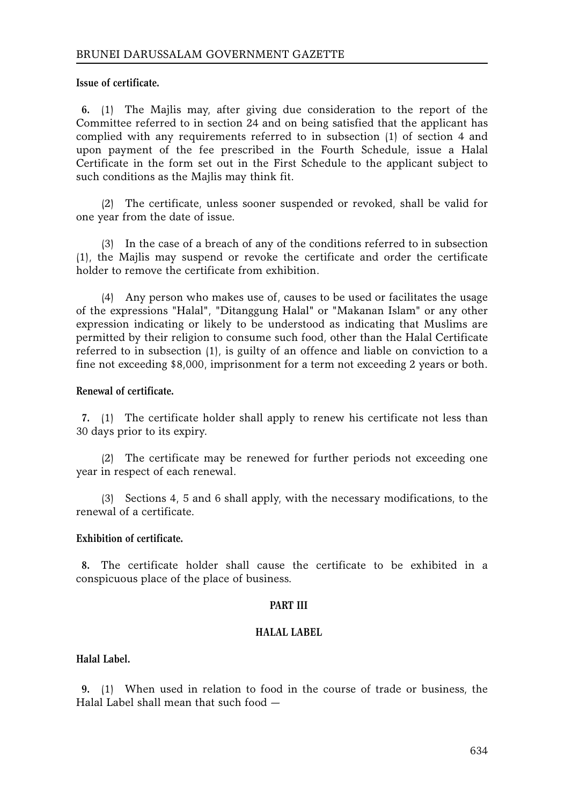**Issue of certificate.**

**6.** (1) The Majlis may, after giving due consideration to the report of the Committee referred to in section 24 and on being satisfied that the applicant has complied with any requirements referred to in subsection (1) of section 4 and upon payment of the fee prescribed in the Fourth Schedule, issue a Halal Certificate in the form set out in the First Schedule to the applicant subject to such conditions as the Majlis may think fit.

(2) The certificate, unless sooner suspended or revoked, shall be valid for one year from the date of issue.

(3) In the case of a breach of any of the conditions referred to in subsection (1), the Majlis may suspend or revoke the certificate and order the certificate holder to remove the certificate from exhibition.

(4) Any person who makes use of, causes to be used or facilitates the usage of the expressions "Halal", "Ditanggung Halal" or "Makanan Islam" or any other expression indicating or likely to be understood as indicating that Muslims are permitted by their religion to consume such food, other than the Halal Certificate referred to in subsection (1), is guilty of an offence and liable on conviction to a fine not exceeding \$8,000, imprisonment for a term not exceeding 2 years or both.

# **Renewal of certificate.**

**7.** (1) The certificate holder shall apply to renew his certificate not less than 30 days prior to its expiry.

(2) The certificate may be renewed for further periods not exceeding one year in respect of each renewal.

(3) Sections 4, 5 and 6 shall apply, with the necessary modifications, to the renewal of a certificate.

## **Exhibition of certificate.**

**8.** The certificate holder shall cause the certificate to be exhibited in a conspicuous place of the place of business.

## **PART III**

## **HALAL LABEL**

# **Halal Label.**

**9.** (1) When used in relation to food in the course of trade or business, the Halal Label shall mean that such food —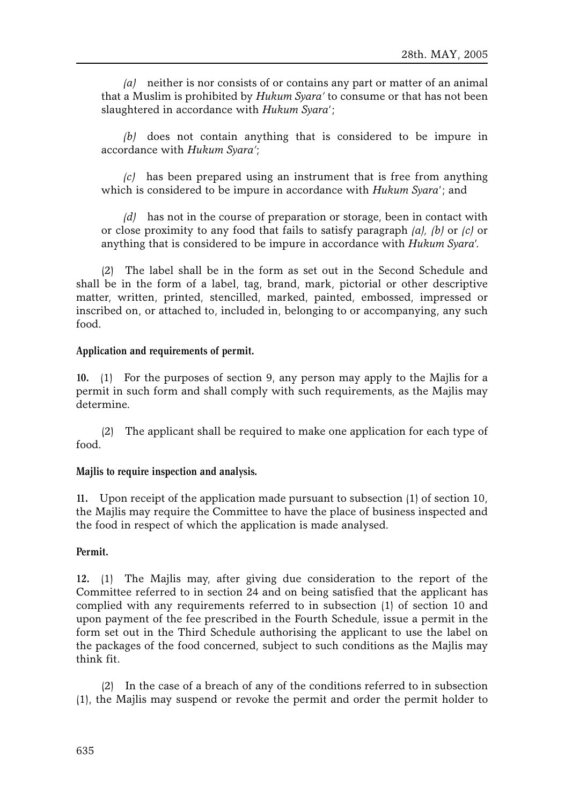*(a)* neither is nor consists of or contains any part or matter of an animal that a Muslim is prohibited by *Hukum Syara'* to consume or that has not been slaughtered in accordance with *Hukum Syara*';

*(b)* does not contain anything that is considered to be impure in accordance with *Hukum Syara'*;

*(c)* has been prepared using an instrument that is free from anything which is considered to be impure in accordance with *Hukum Syara*'; and

*(d)* has not in the course of preparation or storage, been in contact with or close proximity to any food that fails to satisfy paragraph *(a), (b)* or *(c)* or anything that is considered to be impure in accordance with *Hukum Syara*'.

(2) The label shall be in the form as set out in the Second Schedule and shall be in the form of a label, tag, brand, mark, pictorial or other descriptive matter, written, printed, stencilled, marked, painted, embossed, impressed or inscribed on, or attached to, included in, belonging to or accompanying, any such food.

# **Application and requirements of permit.**

**10.** (1) For the purposes of section 9, any person may apply to the Majlis for a permit in such form and shall comply with such requirements, as the Majlis may determine.

(2) The applicant shall be required to make one application for each type of food.

## **Majlis to require inspection and analysis.**

**11.** Upon receipt of the application made pursuant to subsection (1) of section 10, the Majlis may require the Committee to have the place of business inspected and the food in respect of which the application is made analysed.

## **Permit.**

**12.** (1) The Majlis may, after giving due consideration to the report of the Committee referred to in section 24 and on being satisfied that the applicant has complied with any requirements referred to in subsection (1) of section 10 and upon payment of the fee prescribed in the Fourth Schedule, issue a permit in the form set out in the Third Schedule authorising the applicant to use the label on the packages of the food concerned, subject to such conditions as the Majlis may think fit.

(2) In the case of a breach of any of the conditions referred to in subsection (1), the Majlis may suspend or revoke the permit and order the permit holder to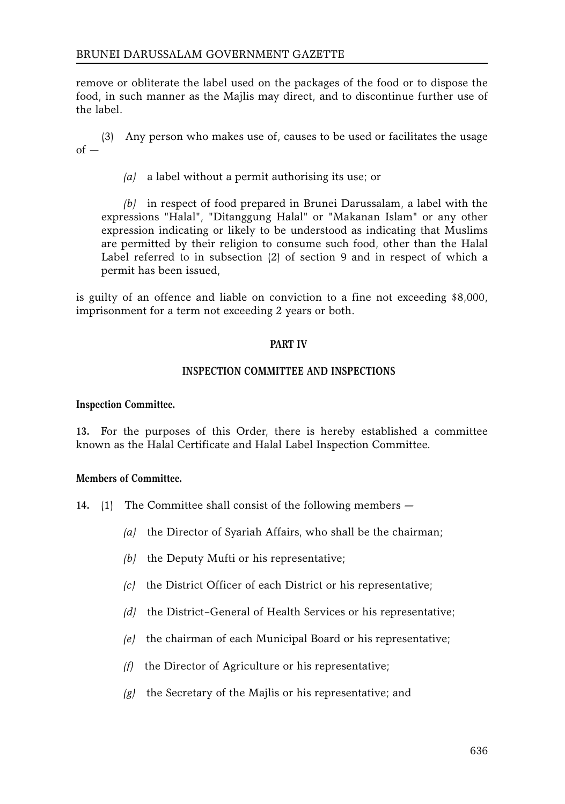remove or obliterate the label used on the packages of the food or to dispose the food, in such manner as the Majlis may direct, and to discontinue further use of the label.

(3) Any person who makes use of, causes to be used or facilitates the usage  $of -$ 

*(a)* a label without a permit authorising its use; or

*(b)* in respect of food prepared in Brunei Darussalam, a label with the expressions "Halal", "Ditanggung Halal" or "Makanan Islam" or any other expression indicating or likely to be understood as indicating that Muslims are permitted by their religion to consume such food, other than the Halal Label referred to in subsection (2) of section 9 and in respect of which a permit has been issued,

is guilty of an offence and liable on conviction to a fine not exceeding \$8,000, imprisonment for a term not exceeding 2 years or both.

## **PART IV**

## **INSPECTION COMMITTEE AND INSPECTIONS**

#### **Inspection Committee.**

**13.** For the purposes of this Order, there is hereby established a committee known as the Halal Certificate and Halal Label Inspection Committee.

## **Members of Committee.**

- **14.** (1) The Committee shall consist of the following members
	- *(a)* the Director of Syariah Affairs, who shall be the chairman;
	- *(b)* the Deputy Mufti or his representative;
	- *(c)* the District Officer of each District or his representative;
	- *(d)* the District–General of Health Services or his representative;
	- *(e)* the chairman of each Municipal Board or his representative;
	- *(f)* the Director of Agriculture or his representative;
	- *(g)* the Secretary of the Majlis or his representative; and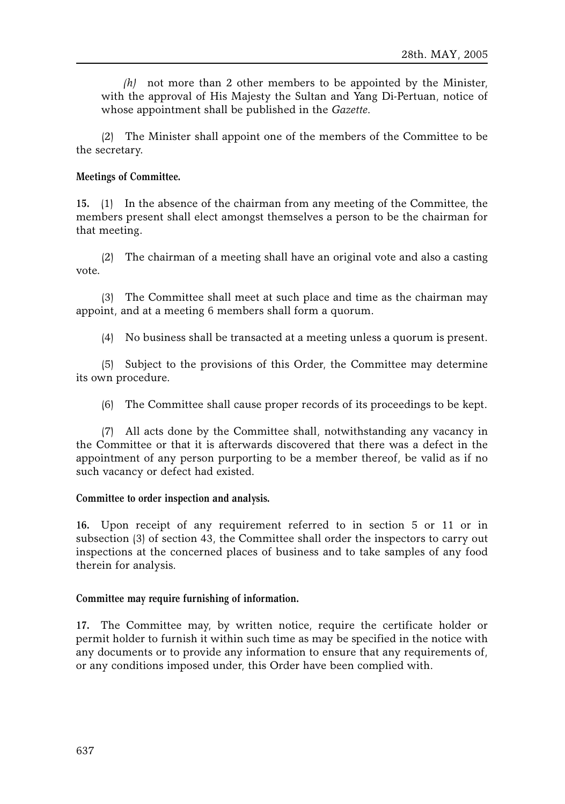*(h)* not more than 2 other members to be appointed by the Minister, with the approval of His Majesty the Sultan and Yang Di-Pertuan, notice of whose appointment shall be published in the *Gazette*.

(2) The Minister shall appoint one of the members of the Committee to be the secretary.

## **Meetings of Committee.**

**15.** (1) In the absence of the chairman from any meeting of the Committee, the members present shall elect amongst themselves a person to be the chairman for that meeting.

(2) The chairman of a meeting shall have an original vote and also a casting vote.

(3) The Committee shall meet at such place and time as the chairman may appoint, and at a meeting 6 members shall form a quorum.

(4) No business shall be transacted at a meeting unless a quorum is present.

(5) Subject to the provisions of this Order, the Committee may determine its own procedure.

(6) The Committee shall cause proper records of its proceedings to be kept.

(7) All acts done by the Committee shall, notwithstanding any vacancy in the Committee or that it is afterwards discovered that there was a defect in the appointment of any person purporting to be a member thereof, be valid as if no such vacancy or defect had existed.

## **Committee to order inspection and analysis.**

**16.** Upon receipt of any requirement referred to in section 5 or 11 or in subsection (3) of section 43, the Committee shall order the inspectors to carry out inspections at the concerned places of business and to take samples of any food therein for analysis.

## **Committee may require furnishing of information.**

**17.** The Committee may, by written notice, require the certificate holder or permit holder to furnish it within such time as may be specified in the notice with any documents or to provide any information to ensure that any requirements of, or any conditions imposed under, this Order have been complied with.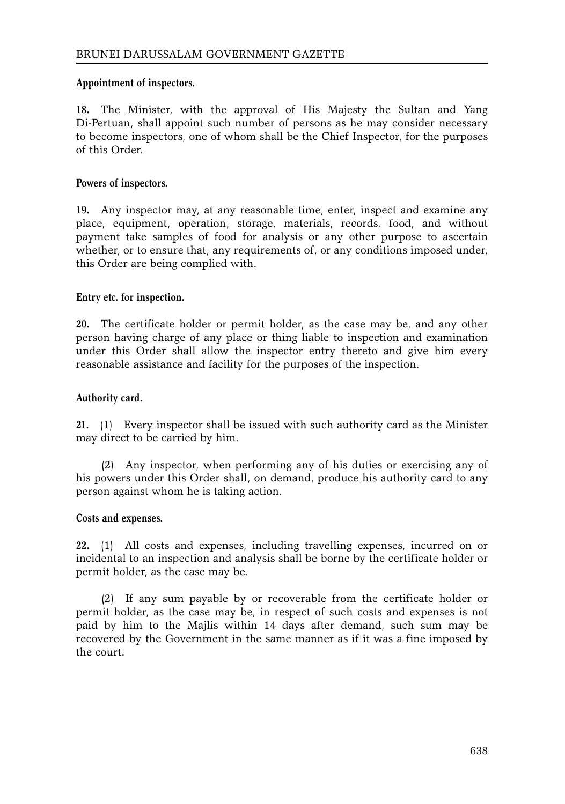# **Appointment of inspectors.**

**18.** The Minister, with the approval of His Majesty the Sultan and Yang Di-Pertuan, shall appoint such number of persons as he may consider necessary to become inspectors, one of whom shall be the Chief Inspector, for the purposes of this Order.

# **Powers of inspectors.**

**19.** Any inspector may, at any reasonable time, enter, inspect and examine any place, equipment, operation, storage, materials, records, food, and without payment take samples of food for analysis or any other purpose to ascertain whether, or to ensure that, any requirements of, or any conditions imposed under, this Order are being complied with.

# **Entry etc. for inspection.**

**20.** The certificate holder or permit holder, as the case may be, and any other person having charge of any place or thing liable to inspection and examination under this Order shall allow the inspector entry thereto and give him every reasonable assistance and facility for the purposes of the inspection.

# **Authority card.**

**21.** (1) Every inspector shall be issued with such authority card as the Minister may direct to be carried by him.

(2) Any inspector, when performing any of his duties or exercising any of his powers under this Order shall, on demand, produce his authority card to any person against whom he is taking action.

## **Costs and expenses.**

**22.** (1) All costs and expenses, including travelling expenses, incurred on or incidental to an inspection and analysis shall be borne by the certificate holder or permit holder, as the case may be.

(2) If any sum payable by or recoverable from the certificate holder or permit holder, as the case may be, in respect of such costs and expenses is not paid by him to the Majlis within 14 days after demand, such sum may be recovered by the Government in the same manner as if it was a fine imposed by the court.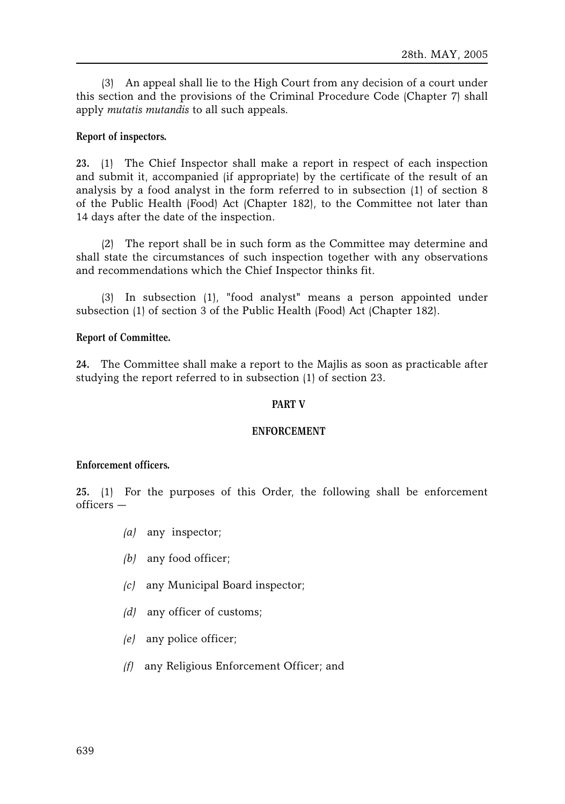(3) An appeal shall lie to the High Court from any decision of a court under this section and the provisions of the Criminal Procedure Code (Chapter 7) shall apply *mutatis mutandis* to all such appeals.

# **Report of inspectors.**

**23.** (1) The Chief Inspector shall make a report in respect of each inspection and submit it, accompanied (if appropriate) by the certificate of the result of an analysis by a food analyst in the form referred to in subsection (1) of section 8 of the Public Health (Food) Act (Chapter 182), to the Committee not later than 14 days after the date of the inspection.

(2) The report shall be in such form as the Committee may determine and shall state the circumstances of such inspection together with any observations and recommendations which the Chief Inspector thinks fit.

(3) In subsection (1), "food analyst" means a person appointed under subsection (1) of section 3 of the Public Health (Food) Act (Chapter 182).

## **Report of Committee.**

**24.** The Committee shall make a report to the Majlis as soon as practicable after studying the report referred to in subsection (1) of section 23.

## **PART V**

## **ENFORCEMENT**

## **Enforcement officers.**

**25.** (1) For the purposes of this Order, the following shall be enforcement officers —

- *(a)* any inspector;
- *(b)* any food officer;
- *(c)* any Municipal Board inspector;
- *(d)* any officer of customs;
- *(e)* any police officer;
- *(f)* any Religious Enforcement Officer; and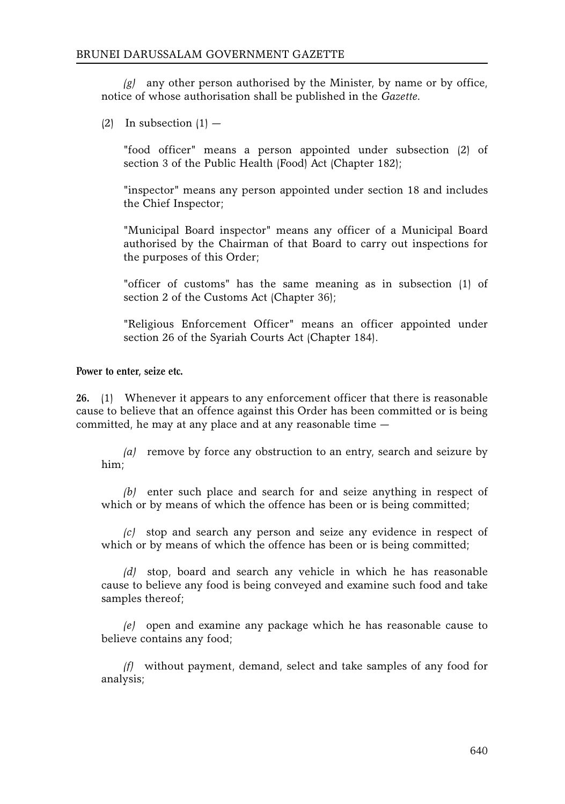*(g)* any other person authorised by the Minister, by name or by office, notice of whose authorisation shall be published in the *Gazette*.

 $(2)$  In subsection  $(1)$  —

"food officer" means a person appointed under subsection (2) of section 3 of the Public Health (Food) Act (Chapter 182);

"inspector" means any person appointed under section 18 and includes the Chief Inspector;

"Municipal Board inspector" means any officer of a Municipal Board authorised by the Chairman of that Board to carry out inspections for the purposes of this Order;

"officer of customs" has the same meaning as in subsection (1) of section 2 of the Customs Act (Chapter 36);

"Religious Enforcement Officer" means an officer appointed under section 26 of the Syariah Courts Act (Chapter 184).

**Power to enter, seize etc.**

**26.** (1) Whenever it appears to any enforcement officer that there is reasonable cause to believe that an offence against this Order has been committed or is being committed, he may at any place and at any reasonable time —

*(a)* remove by force any obstruction to an entry, search and seizure by him;

*(b)* enter such place and search for and seize anything in respect of which or by means of which the offence has been or is being committed;

*(c)* stop and search any person and seize any evidence in respect of which or by means of which the offence has been or is being committed;

*(d)* stop, board and search any vehicle in which he has reasonable cause to believe any food is being conveyed and examine such food and take samples thereof;

*(e)* open and examine any package which he has reasonable cause to believe contains any food;

*(f)* without payment, demand, select and take samples of any food for analysis;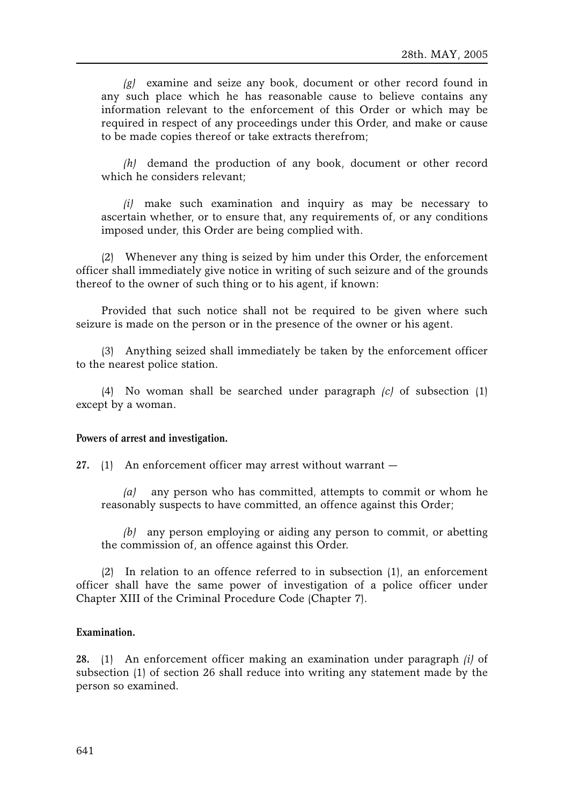*(g)* examine and seize any book, document or other record found in any such place which he has reasonable cause to believe contains any information relevant to the enforcement of this Order or which may be required in respect of any proceedings under this Order, and make or cause to be made copies thereof or take extracts therefrom;

*(h)* demand the production of any book, document or other record which he considers relevant;

*(i)* make such examination and inquiry as may be necessary to ascertain whether, or to ensure that, any requirements of, or any conditions imposed under, this Order are being complied with.

(2) Whenever any thing is seized by him under this Order, the enforcement officer shall immediately give notice in writing of such seizure and of the grounds thereof to the owner of such thing or to his agent, if known:

Provided that such notice shall not be required to be given where such seizure is made on the person or in the presence of the owner or his agent.

(3) Anything seized shall immediately be taken by the enforcement officer to the nearest police station.

(4) No woman shall be searched under paragraph *(c)* of subsection (1) except by a woman.

#### **Powers of arrest and investigation.**

**27.** (1) An enforcement officer may arrest without warrant —

*(a)* any person who has committed, attempts to commit or whom he reasonably suspects to have committed, an offence against this Order;

*(b)* any person employing or aiding any person to commit, or abetting the commission of, an offence against this Order.

(2) In relation to an offence referred to in subsection (1), an enforcement officer shall have the same power of investigation of a police officer under Chapter XIII of the Criminal Procedure Code (Chapter 7).

#### **Examination.**

**28.** (1) An enforcement officer making an examination under paragraph *(i)* of subsection (1) of section 26 shall reduce into writing any statement made by the person so examined.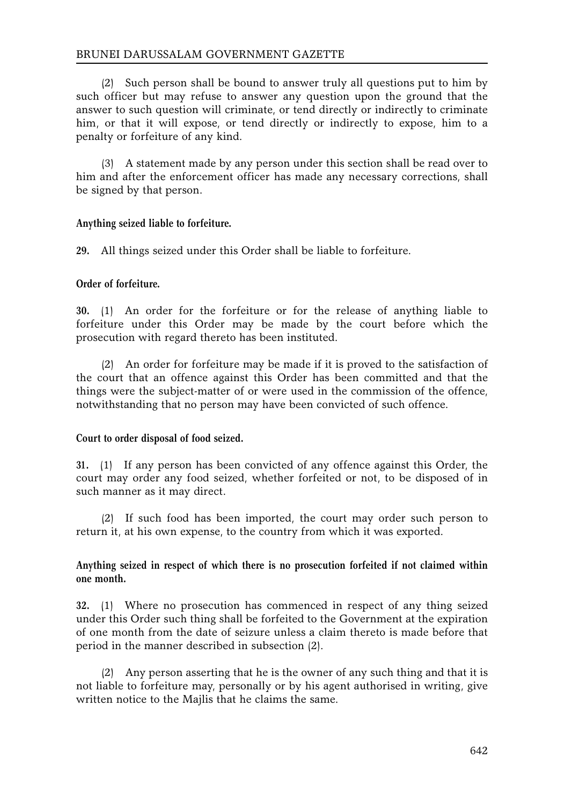(2) Such person shall be bound to answer truly all questions put to him by such officer but may refuse to answer any question upon the ground that the answer to such question will criminate, or tend directly or indirectly to criminate him, or that it will expose, or tend directly or indirectly to expose, him to a penalty or forfeiture of any kind.

(3) A statement made by any person under this section shall be read over to him and after the enforcement officer has made any necessary corrections, shall be signed by that person.

# **Anything seized liable to forfeiture.**

**29.** All things seized under this Order shall be liable to forfeiture.

## **Order of forfeiture.**

**30.** (1) An order for the forfeiture or for the release of anything liable to forfeiture under this Order may be made by the court before which the prosecution with regard thereto has been instituted.

(2) An order for forfeiture may be made if it is proved to the satisfaction of the court that an offence against this Order has been committed and that the things were the subject-matter of or were used in the commission of the offence, notwithstanding that no person may have been convicted of such offence.

## **Court to order disposal of food seized.**

**31.** (1) If any person has been convicted of any offence against this Order, the court may order any food seized, whether forfeited or not, to be disposed of in such manner as it may direct.

(2) If such food has been imported, the court may order such person to return it, at his own expense, to the country from which it was exported.

# **Anything seized in respect of which there is no prosecution forfeited if not claimed within one month.**

**32.** (1) Where no prosecution has commenced in respect of any thing seized under this Order such thing shall be forfeited to the Government at the expiration of one month from the date of seizure unless a claim thereto is made before that period in the manner described in subsection (2).

(2) Any person asserting that he is the owner of any such thing and that it is not liable to forfeiture may, personally or by his agent authorised in writing, give written notice to the Majlis that he claims the same.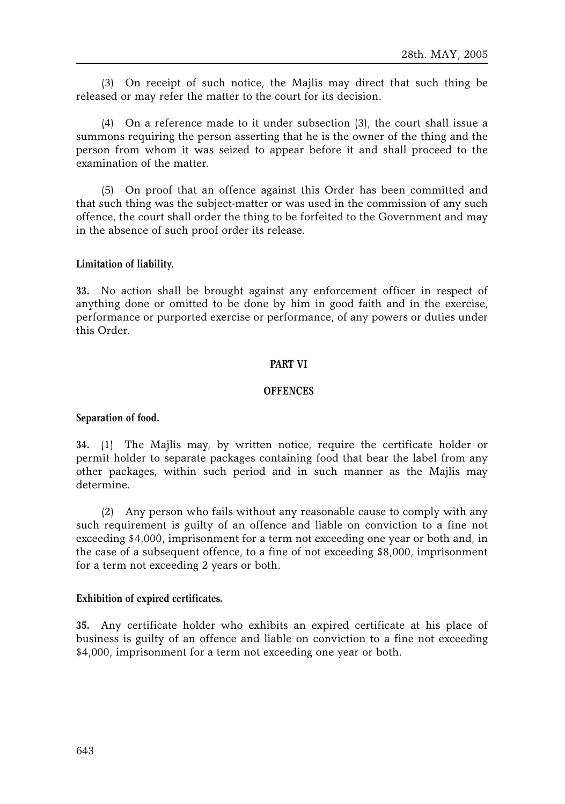(3) On receipt of such notice, the Majlis may direct that such thing be released or may refer the matter to the court for its decision.

(4) On a reference made to it under subsection (3), the court shall issue a summons requiring the person asserting that he is the owner of the thing and the person from whom it was seized to appear before it and shall proceed to the examination of the matter.

(5) On proof that an offence against this Order has been committed and that such thing was the subject-matter or was used in the commission of any such offence, the court shall order the thing to be forfeited to the Government and may in the absence of such proof order its release.

#### **Limitation of liability.**

**33.** No action shall be brought against any enforcement officer in respect of anything done or omitted to be done by him in good faith and in the exercise, performance or purported exercise or performance, of any powers or duties under this Order.

#### **PART VI**

## **OFFENCES**

#### **Separation of food.**

**34.** (1) The Majlis may, by written notice, require the certificate holder or permit holder to separate packages containing food that bear the label from any other packages, within such period and in such manner as the Majlis may determine.

(2) Any person who fails without any reasonable cause to comply with any such requirement is guilty of an offence and liable on conviction to a fine not exceeding \$4,000, imprisonment for a term not exceeding one year or both and, in the case of a subsequent offence, to a fine of not exceeding \$8,000, imprisonment for a term not exceeding 2 years or both.

#### **Exhibition of expired certificates.**

**35.** Any certificate holder who exhibits an expired certificate at his place of business is guilty of an offence and liable on conviction to a fine not exceeding \$4,000, imprisonment for a term not exceeding one year or both.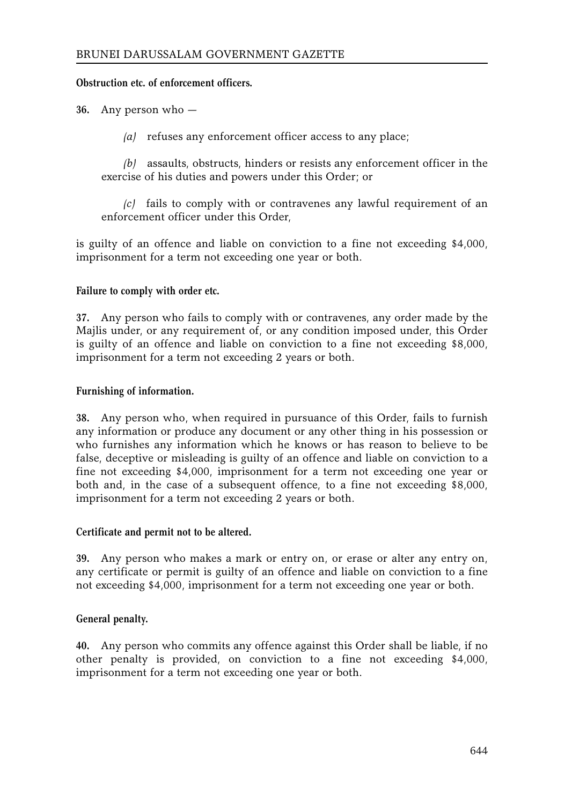# **Obstruction etc. of enforcement officers.**

**36.** Any person who —

*(a)* refuses any enforcement officer access to any place;

*(b)* assaults, obstructs, hinders or resists any enforcement officer in the exercise of his duties and powers under this Order; or

*(c)* fails to comply with or contravenes any lawful requirement of an enforcement officer under this Order,

is guilty of an offence and liable on conviction to a fine not exceeding \$4,000, imprisonment for a term not exceeding one year or both.

# **Failure to comply with order etc.**

**37.** Any person who fails to comply with or contravenes, any order made by the Majlis under, or any requirement of, or any condition imposed under, this Order is guilty of an offence and liable on conviction to a fine not exceeding \$8,000, imprisonment for a term not exceeding 2 years or both.

# **Furnishing of information.**

**38.** Any person who, when required in pursuance of this Order, fails to furnish any information or produce any document or any other thing in his possession or who furnishes any information which he knows or has reason to believe to be false, deceptive or misleading is guilty of an offence and liable on conviction to a fine not exceeding \$4,000, imprisonment for a term not exceeding one year or both and, in the case of a subsequent offence, to a fine not exceeding \$8,000, imprisonment for a term not exceeding 2 years or both.

## **Certificate and permit not to be altered.**

**39.** Any person who makes a mark or entry on, or erase or alter any entry on, any certificate or permit is guilty of an offence and liable on conviction to a fine not exceeding \$4,000, imprisonment for a term not exceeding one year or both.

# **General penalty.**

**40.** Any person who commits any offence against this Order shall be liable, if no other penalty is provided, on conviction to a fine not exceeding \$4,000, imprisonment for a term not exceeding one year or both.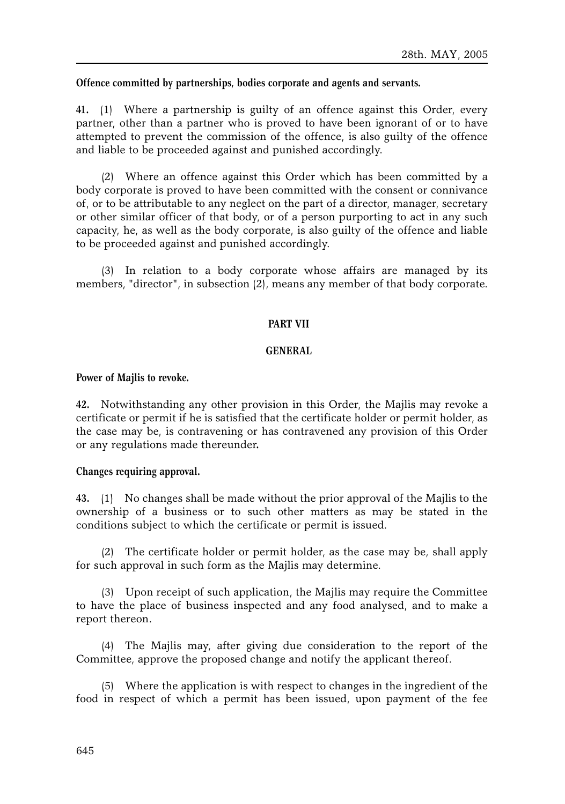## **Offence committed by partnerships, bodies corporate and agents and servants.**

**41.** (1) Where a partnership is guilty of an offence against this Order, every partner, other than a partner who is proved to have been ignorant of or to have attempted to prevent the commission of the offence, is also guilty of the offence and liable to be proceeded against and punished accordingly.

(2) Where an offence against this Order which has been committed by a body corporate is proved to have been committed with the consent or connivance of, or to be attributable to any neglect on the part of a director, manager, secretary or other similar officer of that body, or of a person purporting to act in any such capacity, he, as well as the body corporate, is also guilty of the offence and liable to be proceeded against and punished accordingly.

(3) In relation to a body corporate whose affairs are managed by its members, "director", in subsection (2), means any member of that body corporate.

## **PART VII**

#### **GENERAL**

## **Power of Majlis to revoke.**

**42.** Notwithstanding any other provision in this Order, the Majlis may revoke a certificate or permit if he is satisfied that the certificate holder or permit holder, as the case may be, is contravening or has contravened any provision of this Order or any regulations made thereunder**.**

## **Changes requiring approval.**

**43.** (1) No changes shall be made without the prior approval of the Majlis to the ownership of a business or to such other matters as may be stated in the conditions subject to which the certificate or permit is issued.

(2) The certificate holder or permit holder, as the case may be, shall apply for such approval in such form as the Majlis may determine.

(3) Upon receipt of such application, the Majlis may require the Committee to have the place of business inspected and any food analysed, and to make a report thereon.

(4) The Majlis may, after giving due consideration to the report of the Committee, approve the proposed change and notify the applicant thereof.

(5) Where the application is with respect to changes in the ingredient of the food in respect of which a permit has been issued, upon payment of the fee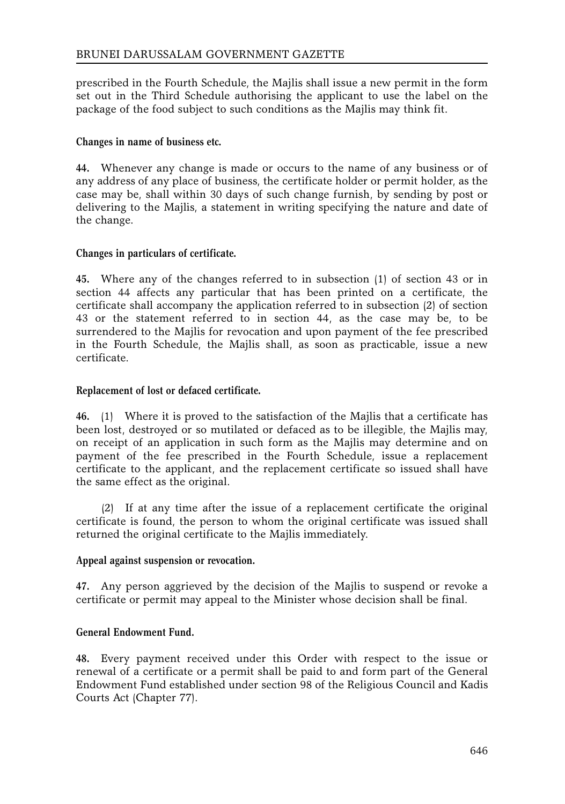prescribed in the Fourth Schedule, the Majlis shall issue a new permit in the form set out in the Third Schedule authorising the applicant to use the label on the package of the food subject to such conditions as the Majlis may think fit.

# **Changes in name of business etc.**

**44.** Whenever any change is made or occurs to the name of any business or of any address of any place of business, the certificate holder or permit holder, as the case may be, shall within 30 days of such change furnish, by sending by post or delivering to the Majlis, a statement in writing specifying the nature and date of the change.

# **Changes in particulars of certificate.**

**45.** Where any of the changes referred to in subsection (1) of section 43 or in section 44 affects any particular that has been printed on a certificate, the certificate shall accompany the application referred to in subsection (2) of section 43 or the statement referred to in section 44, as the case may be, to be surrendered to the Majlis for revocation and upon payment of the fee prescribed in the Fourth Schedule, the Majlis shall, as soon as practicable, issue a new certificate.

# **Replacement of lost or defaced certificate.**

**46.** (1) Where it is proved to the satisfaction of the Majlis that a certificate has been lost, destroyed or so mutilated or defaced as to be illegible, the Majlis may, on receipt of an application in such form as the Majlis may determine and on payment of the fee prescribed in the Fourth Schedule, issue a replacement certificate to the applicant, and the replacement certificate so issued shall have the same effect as the original.

(2) If at any time after the issue of a replacement certificate the original certificate is found, the person to whom the original certificate was issued shall returned the original certificate to the Majlis immediately.

## **Appeal against suspension or revocation.**

**47.** Any person aggrieved by the decision of the Majlis to suspend or revoke a certificate or permit may appeal to the Minister whose decision shall be final.

## **General Endowment Fund.**

**48.** Every payment received under this Order with respect to the issue or renewal of a certificate or a permit shall be paid to and form part of the General Endowment Fund established under section 98 of the Religious Council and Kadis Courts Act (Chapter 77).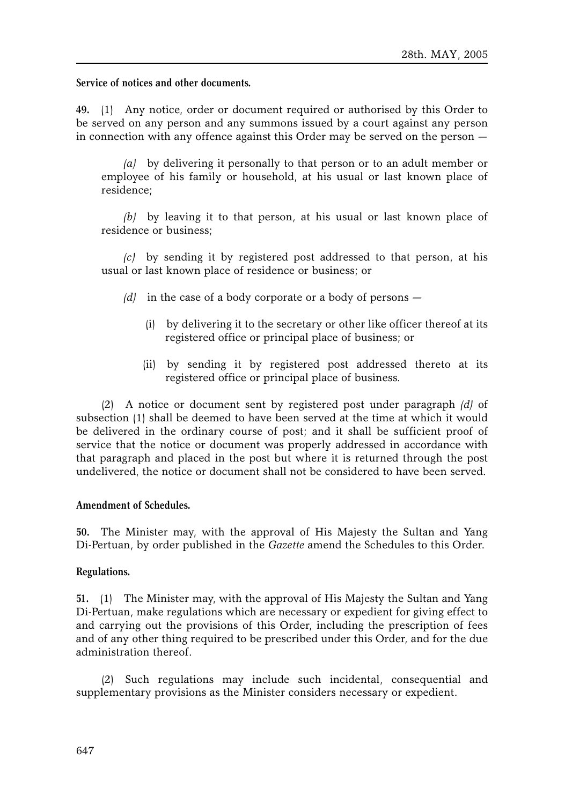**Service of notices and other documents.**

**49.** (1) Any notice, order or document required or authorised by this Order to be served on any person and any summons issued by a court against any person in connection with any offence against this Order may be served on the person —

*(a)* by delivering it personally to that person or to an adult member or employee of his family or household, at his usual or last known place of residence;

*(b)* by leaving it to that person, at his usual or last known place of residence or business;

*(c)* by sending it by registered post addressed to that person, at his usual or last known place of residence or business; or

- *(d)* in the case of a body corporate or a body of persons
	- (i) by delivering it to the secretary or other like officer thereof at its registered office or principal place of business; or
	- (ii) by sending it by registered post addressed thereto at its registered office or principal place of business.

(2) A notice or document sent by registered post under paragraph *(d)* of subsection (1) shall be deemed to have been served at the time at which it would be delivered in the ordinary course of post; and it shall be sufficient proof of service that the notice or document was properly addressed in accordance with that paragraph and placed in the post but where it is returned through the post undelivered, the notice or document shall not be considered to have been served.

#### **Amendment of Schedules.**

**50.** The Minister may, with the approval of His Majesty the Sultan and Yang Di-Pertuan, by order published in the *Gazette* amend the Schedules to this Order.

#### **Regulations.**

**51.** (1) The Minister may, with the approval of His Majesty the Sultan and Yang Di-Pertuan, make regulations which are necessary or expedient for giving effect to and carrying out the provisions of this Order, including the prescription of fees and of any other thing required to be prescribed under this Order, and for the due administration thereof.

(2) Such regulations may include such incidental, consequential and supplementary provisions as the Minister considers necessary or expedient.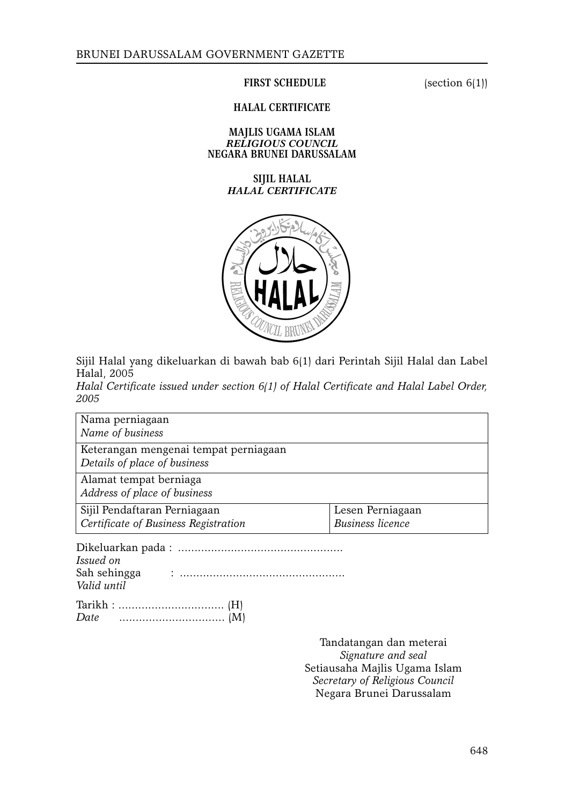#### **FIRST SCHEDULE** (section 6(1))

#### **HALAL CERTIFICATE**

#### **MAJLIS UGAMA ISLAM** *RELIGIOUS COUNCIL* **NEGARA BRUNEI DARUSSALAM**

# **SIJIL HALAL** *HALAL CERTIFICATE*



Sijil Halal yang dikeluarkan di bawah bab 6(1) dari Perintah Sijil Halal dan Label Halal, 2005

*Halal Certificate issued under section 6(1) of Halal Certificate and Halal Label Order, 2005*

Nama perniagaan *Name of business* Keterangan mengenai tempat perniagaan *Details of place of business* Alamat tempat berniaga *Address of place of business* Sijil Pendaftaran Perniagaan *Certificate of Business Registration* Lesen Perniagaan *Business licence* Dikeluarkan pada : .................................................. *Issued on*  Sah sehingga : ..................................................

Tarikh : ................................ (H) *Date* ................................ (M)

*Valid until*

Tandatangan dan meterai *Signature and seal* Setiausaha Majlis Ugama Islam *Secretary of Religious Council* Negara Brunei Darussalam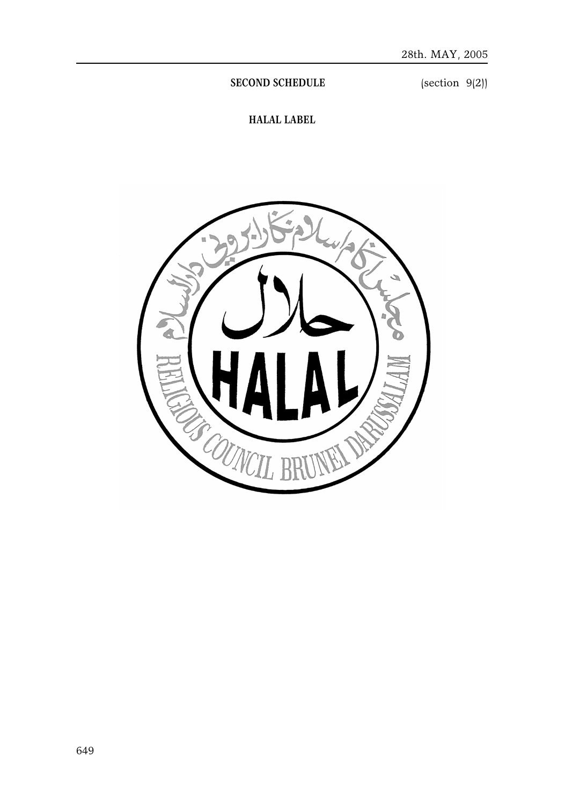**SECOND SCHEDULE** (section 9(2))

**HALAL LABEL**

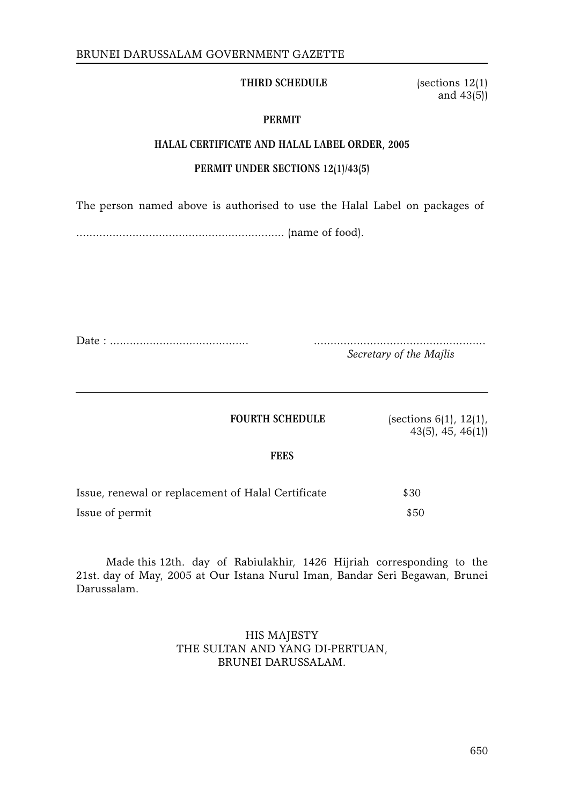## **THIRD SCHEDULE** (sections 12(1)

and 43(5))

# **PERMIT**

## **HALAL CERTIFICATE AND HALAL LABEL ORDER, 2005**

# **PERMIT UNDER SECTIONS 12(1)/43(5)**

The person named above is authorised to use the Halal Label on packages of

............................................................... (name of food).

Date : .......................................... ....................................................

*Secretary of the Majlis*

**FOURTH SCHEDULE** (sections 6(1), 12(1), 43(5), 45, 46(1))

**FEES**

| Issue, renewal or replacement of Halal Certificate | \$30 |
|----------------------------------------------------|------|
| Issue of permit                                    | \$50 |

Made this 12th. day of Rabiulakhir, 1426 Hijriah corresponding to the 21st. day of May, 2005 at Our Istana Nurul Iman, Bandar Seri Begawan, Brunei Darussalam.

# HIS MAJESTY THE SULTAN AND YANG DI-PERTUAN, BRUNEI DARUSSALAM.